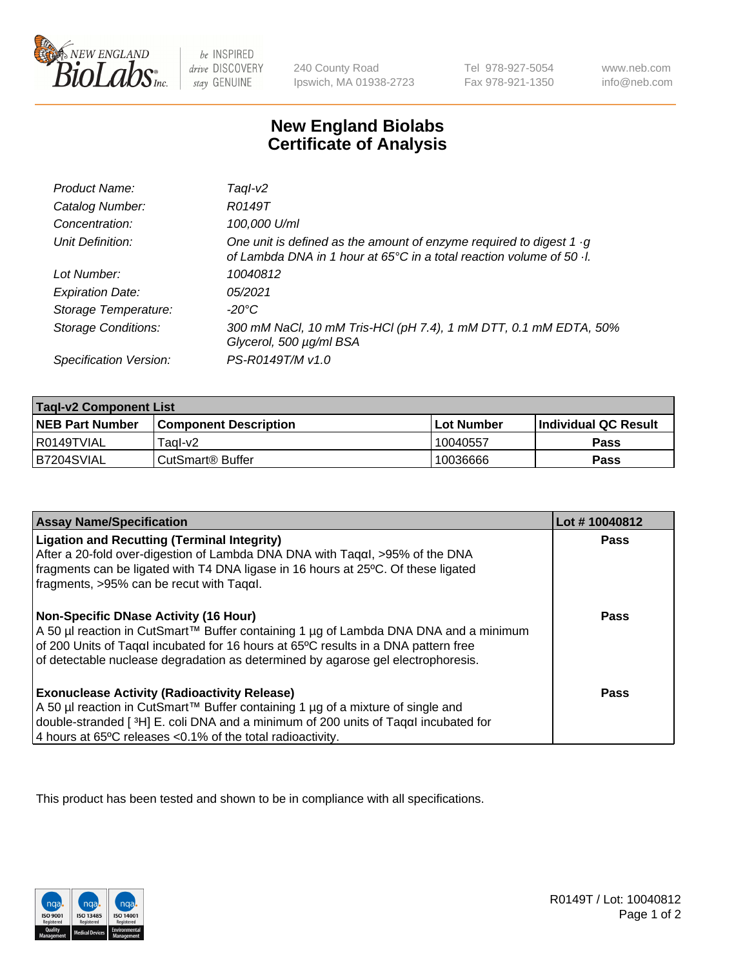

 $be$  INSPIRED drive DISCOVERY stay GENUINE

240 County Road Ipswich, MA 01938-2723 Tel 978-927-5054 Fax 978-921-1350 www.neb.com info@neb.com

## **New England Biolabs Certificate of Analysis**

| Product Name:              | Tagl-v2                                                                                                                                                   |
|----------------------------|-----------------------------------------------------------------------------------------------------------------------------------------------------------|
| Catalog Number:            | R0149T                                                                                                                                                    |
| Concentration:             | 100,000 U/ml                                                                                                                                              |
| Unit Definition:           | One unit is defined as the amount of enzyme required to digest 1 $\cdot$ g<br>of Lambda DNA in 1 hour at 65°C in a total reaction volume of 50 $\cdot$ l. |
| Lot Number:                | 10040812                                                                                                                                                  |
| <b>Expiration Date:</b>    | 05/2021                                                                                                                                                   |
| Storage Temperature:       | -20°C                                                                                                                                                     |
| <b>Storage Conditions:</b> | 300 mM NaCl, 10 mM Tris-HCl (pH 7.4), 1 mM DTT, 0.1 mM EDTA, 50%<br>Glycerol, 500 µg/ml BSA                                                               |
| Specification Version:     | PS-R0149T/M v1.0                                                                                                                                          |

| <b>Tagl-v2 Component List</b> |                              |            |                             |  |
|-------------------------------|------------------------------|------------|-----------------------------|--|
| <b>NEB Part Number</b>        | <b>Component Description</b> | Lot Number | <b>Individual QC Result</b> |  |
| I R0149TVIAL                  | Taal-v2                      | 10040557   | Pass                        |  |
| IB7204SVIAL                   | ⊦CutSmart® Buffer            | 10036666   | Pass                        |  |

| <b>Assay Name/Specification</b>                                                                                                                                                                                                                                                                                | Lot #10040812 |
|----------------------------------------------------------------------------------------------------------------------------------------------------------------------------------------------------------------------------------------------------------------------------------------------------------------|---------------|
| <b>Ligation and Recutting (Terminal Integrity)</b><br>After a 20-fold over-digestion of Lambda DNA DNA with Tagal, $>95\%$ of the DNA<br>fragments can be ligated with T4 DNA ligase in 16 hours at 25°C. Of these ligated<br>fragments, >95% can be recut with Tagαl.                                         | <b>Pass</b>   |
| <b>Non-Specific DNase Activity (16 Hour)</b><br>A 50 µl reaction in CutSmart™ Buffer containing 1 µg of Lambda DNA DNA and a minimum<br>of 200 Units of Tagal incubated for 16 hours at 65°C results in a DNA pattern free<br>of detectable nuclease degradation as determined by agarose gel electrophoresis. | <b>Pass</b>   |
| <b>Exonuclease Activity (Radioactivity Release)</b><br>  A 50 µl reaction in CutSmart™ Buffer containing 1 µg of a mixture of single and<br>double-stranded [3H] E. coli DNA and a minimum of 200 units of Taqal incubated for<br>4 hours at 65°C releases < 0.1% of the total radioactivity.                  | <b>Pass</b>   |

This product has been tested and shown to be in compliance with all specifications.